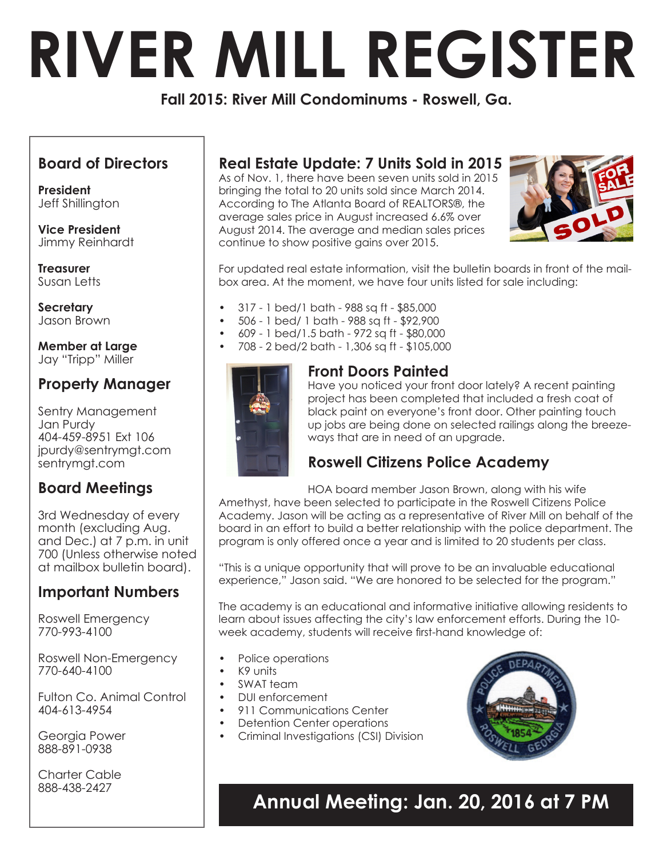# **RIVER MILL REGISTER**

**Fall 2015: River Mill Condominums - Roswell, Ga.** 

## **Board of Directors**

**President**  Jeff Shillington

**Vice President** Jimmy Reinhardt

**Treasurer** Susan Letts

**Secretary** Jason Brown

**Member at Large** Jay "Tripp" Miller

## **Property Manager**

Sentry Management Jan Purdy 404-459-8951 Ext 106 jpurdy@sentrymgt.com sentrymgt.com

## **Board Meetings**

3rd Wednesday of every month (excluding Aug. and Dec.) at 7 p.m. in unit 700 (Unless otherwise noted at mailbox bulletin board).

## **Important Numbers**

Roswell Emergency 770-993-4100

Roswell Non-Emergency 770-640-4100

Fulton Co. Animal Control 404-613-4954

Georgia Power 888-891-0938

Charter Cable 888-438-2427

## **Real Estate Update: 7 Units Sold in 2015**

As of Nov. 1, there have been seven units sold in 2015 bringing the total to 20 units sold since March 2014. According to The Atlanta Board of REALTORS®, the average sales price in August increased 6.6% over August 2014. The average and median sales prices continue to show positive gains over 2015.



For updated real estate information, visit the bulletin boards in front of the mailbox area. At the moment, we have four units listed for sale including:

- 317 1 bed/1 bath 988 sq ft \$85,000
- 506 1 bed/ 1 bath 988 sq ft \$92,900
- • 609 1 bed/1.5 bath 972 sq ft \$80,000
- 708 2 bed/2 bath 1,306 sq ft \$105,000



### **Front Doors Painted**

Have you noticed your front door lately? A recent painting project has been completed that included a fresh coat of black paint on everyone's front door. Other painting touch up jobs are being done on selected railings along the breezeways that are in need of an upgrade.

## **Roswell Citizens Police Academy**

HOA board member Jason Brown, along with his wife Amethyst, have been selected to participate in the Roswell Citizens Police Academy. Jason will be acting as a representative of River Mill on behalf of the board in an effort to build a better relationship with the police department. The program is only offered once a year and is limited to 20 students per class.

"This is a unique opportunity that will prove to be an invaluable educational experience," Jason said. "We are honored to be selected for the program."

The academy is an educational and informative initiative allowing residents to learn about issues affecting the city's law enforcement efforts. During the 10 week academy, students will receive first-hand knowledge of:

- Police operations
- K9 units
- SWAT team
- DUI enforcement
- 911 Communications Center
- Detention Center operations
- • Criminal Investigations (CSI) Division



# **Annual Meeting: Jan. 20, 2016 at 7 PM**